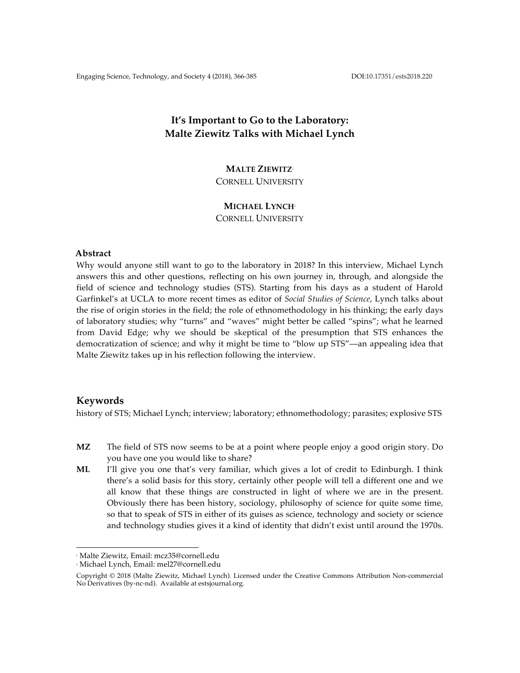# **It's Important to Go to the Laboratory: Malte Ziewitz Talks with Michael Lynch**

# **MALTE ZIEWITZ**<sup>1</sup>

CORNELL UNIVERSITY

# **MICHAEL LYNCH**<sup>2</sup>

CORNELL UNIVERSITY

# **Abstract**

Why would anyone still want to go to the laboratory in 2018? In this interview, Michael Lynch answers this and other questions, reflecting on his own journey in, through, and alongside the field of science and technology studies (STS). Starting from his days as a student of Harold Garfinkel's at UCLA to more recent times as editor of *Social Studies of Science*, Lynch talks about the rise of origin stories in the field; the role of ethnomethodology in his thinking; the early days of laboratory studies; why "turns" and "waves" might better be called "spins"; what he learned from David Edge; why we should be skeptical of the presumption that STS enhances the democratization of science; and why it might be time to "blow up STS"––an appealing idea that Malte Ziewitz takes up in his reflection following the interview.

# **Keywords**

history of STS; Michael Lynch; interview; laboratory; ethnomethodology; parasites; explosive STS

- **MZ** The field of STS now seems to be at a point where people enjoy a good origin story. Do you have one you would like to share?
- **ML** I'll give you one that's very familiar, which gives a lot of credit to Edinburgh. I think there's a solid basis for this story, certainly other people will tell a different one and we all know that these things are constructed in light of where we are in the present. Obviously there has been history, sociology, philosophy of science for quite some time, so that to speak of STS in either of its guises as science, technology and society or science and technology studies gives it a kind of identity that didn't exist until around the 1970s.

 

<sup>1</sup> Malte Ziewitz, Email: mcz35@cornell.edu

<sup>2</sup> Michael Lynch, Email: mel27@cornell.edu

Copyright © 2018 (Malte Ziewitz, Michael Lynch). Licensed under the Creative Commons Attribution Non-commercial No Derivatives (by-nc-nd). Available at estsjournal.org.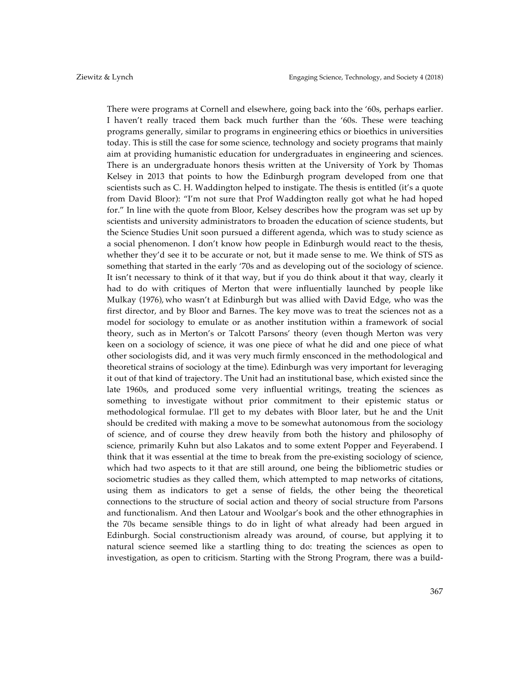There were programs at Cornell and elsewhere, going back into the '60s, perhaps earlier. I haven't really traced them back much further than the '60s. These were teaching programs generally, similar to programs in engineering ethics or bioethics in universities today. This is still the case for some science, technology and society programs that mainly aim at providing humanistic education for undergraduates in engineering and sciences. There is an undergraduate honors thesis written at the University of York by Thomas Kelsey in 2013 that points to how the Edinburgh program developed from one that scientists such as C. H. Waddington helped to instigate. The thesis is entitled (it's a quote from David Bloor): "I'm not sure that Prof Waddington really got what he had hoped for." In line with the quote from Bloor, Kelsey describes how the program was set up by scientists and university administrators to broaden the education of science students, but the Science Studies Unit soon pursued a different agenda, which was to study science as a social phenomenon. I don't know how people in Edinburgh would react to the thesis, whether they'd see it to be accurate or not, but it made sense to me. We think of STS as something that started in the early '70s and as developing out of the sociology of science. It isn't necessary to think of it that way, but if you do think about it that way, clearly it had to do with critiques of Merton that were influentially launched by people like Mulkay (1976), who wasn't at Edinburgh but was allied with David Edge, who was the first director, and by Bloor and Barnes. The key move was to treat the sciences not as a model for sociology to emulate or as another institution within a framework of social theory, such as in Merton's or Talcott Parsons' theory (even though Merton was very keen on a sociology of science, it was one piece of what he did and one piece of what other sociologists did, and it was very much firmly ensconced in the methodological and theoretical strains of sociology at the time). Edinburgh was very important for leveraging it out of that kind of trajectory. The Unit had an institutional base, which existed since the late 1960s, and produced some very influential writings, treating the sciences as something to investigate without prior commitment to their epistemic status or methodological formulae. I'll get to my debates with Bloor later, but he and the Unit should be credited with making a move to be somewhat autonomous from the sociology of science, and of course they drew heavily from both the history and philosophy of science, primarily Kuhn but also Lakatos and to some extent Popper and Feyerabend. I think that it was essential at the time to break from the pre-existing sociology of science, which had two aspects to it that are still around, one being the bibliometric studies or sociometric studies as they called them, which attempted to map networks of citations, using them as indicators to get a sense of fields, the other being the theoretical connections to the structure of social action and theory of social structure from Parsons and functionalism. And then Latour and Woolgar's book and the other ethnographies in the 70s became sensible things to do in light of what already had been argued in Edinburgh. Social constructionism already was around, of course, but applying it to natural science seemed like a startling thing to do: treating the sciences as open to investigation, as open to criticism. Starting with the Strong Program, there was a build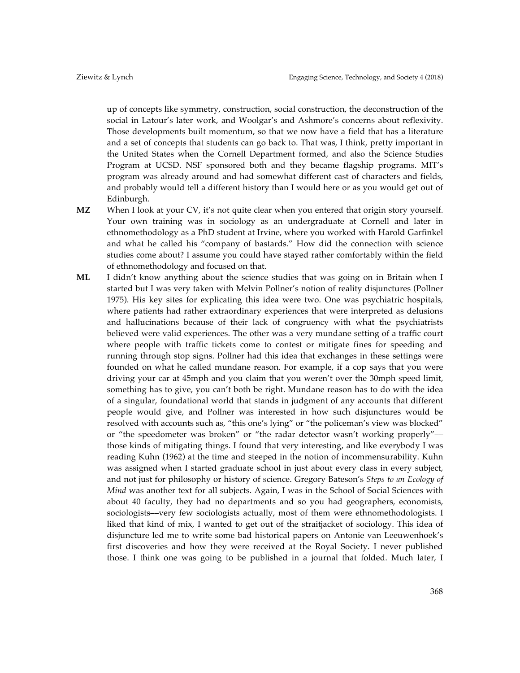up of concepts like symmetry, construction, social construction, the deconstruction of the social in Latour's later work, and Woolgar's and Ashmore's concerns about reflexivity. Those developments built momentum, so that we now have a field that has a literature and a set of concepts that students can go back to. That was, I think, pretty important in the United States when the Cornell Department formed, and also the Science Studies Program at UCSD. NSF sponsored both and they became flagship programs. MIT's program was already around and had somewhat different cast of characters and fields, and probably would tell a different history than I would here or as you would get out of Edinburgh.

- **MZ** When I look at your CV, it's not quite clear when you entered that origin story yourself. Your own training was in sociology as an undergraduate at Cornell and later in ethnomethodology as a PhD student at Irvine, where you worked with Harold Garfinkel and what he called his "company of bastards." How did the connection with science studies come about? I assume you could have stayed rather comfortably within the field of ethnomethodology and focused on that.
- **ML** I didn't know anything about the science studies that was going on in Britain when I started but I was very taken with Melvin Pollner's notion of reality disjunctures (Pollner 1975). His key sites for explicating this idea were two. One was psychiatric hospitals, where patients had rather extraordinary experiences that were interpreted as delusions and hallucinations because of their lack of congruency with what the psychiatrists believed were valid experiences. The other was a very mundane setting of a traffic court where people with traffic tickets come to contest or mitigate fines for speeding and running through stop signs. Pollner had this idea that exchanges in these settings were founded on what he called mundane reason. For example, if a cop says that you were driving your car at 45mph and you claim that you weren't over the 30mph speed limit, something has to give, you can't both be right. Mundane reason has to do with the idea of a singular, foundational world that stands in judgment of any accounts that different people would give, and Pollner was interested in how such disjunctures would be resolved with accounts such as, "this one's lying" or "the policeman's view was blocked" or "the speedometer was broken" or "the radar detector wasn't working properly"those kinds of mitigating things. I found that very interesting, and like everybody I was reading Kuhn (1962) at the time and steeped in the notion of incommensurability. Kuhn was assigned when I started graduate school in just about every class in every subject, and not just for philosophy or history of science. Gregory Bateson's *Steps to an Ecology of Mind* was another text for all subjects. Again, I was in the School of Social Sciences with about 40 faculty, they had no departments and so you had geographers, economists, sociologists––very few sociologists actually, most of them were ethnomethodologists. I liked that kind of mix, I wanted to get out of the straitjacket of sociology. This idea of disjuncture led me to write some bad historical papers on Antonie van Leeuwenhoek's first discoveries and how they were received at the Royal Society. I never published those. I think one was going to be published in a journal that folded. Much later, I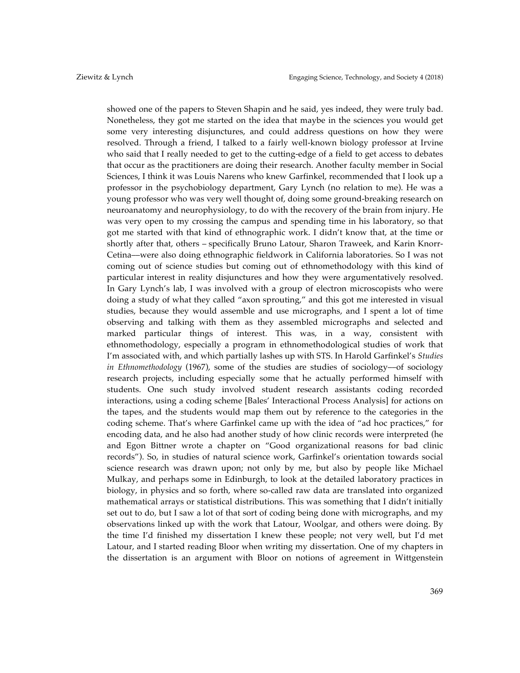showed one of the papers to Steven Shapin and he said, yes indeed, they were truly bad. Nonetheless, they got me started on the idea that maybe in the sciences you would get some very interesting disjunctures, and could address questions on how they were resolved. Through a friend, I talked to a fairly well-known biology professor at Irvine who said that I really needed to get to the cutting-edge of a field to get access to debates that occur as the practitioners are doing their research. Another faculty member in Social Sciences, I think it was Louis Narens who knew Garfinkel, recommended that I look up a professor in the psychobiology department, Gary Lynch (no relation to me). He was a young professor who was very well thought of, doing some ground-breaking research on neuroanatomy and neurophysiology, to do with the recovery of the brain from injury. He was very open to my crossing the campus and spending time in his laboratory, so that got me started with that kind of ethnographic work. I didn't know that, at the time or shortly after that, others – specifically Bruno Latour, Sharon Traweek, and Karin Knorr-Cetina––were also doing ethnographic fieldwork in California laboratories. So I was not coming out of science studies but coming out of ethnomethodology with this kind of particular interest in reality disjunctures and how they were argumentatively resolved. In Gary Lynch's lab, I was involved with a group of electron microscopists who were doing a study of what they called "axon sprouting," and this got me interested in visual studies, because they would assemble and use micrographs, and I spent a lot of time observing and talking with them as they assembled micrographs and selected and marked particular things of interest. This was, in a way, consistent with ethnomethodology, especially a program in ethnomethodological studies of work that I'm associated with, and which partially lashes up with STS. In Harold Garfinkel's *Studies in Ethnomethodology* (1967), some of the studies are studies of sociology––of sociology research projects, including especially some that he actually performed himself with students. One such study involved student research assistants coding recorded interactions, using a coding scheme [Bales' Interactional Process Analysis] for actions on the tapes, and the students would map them out by reference to the categories in the coding scheme. That's where Garfinkel came up with the idea of "ad hoc practices," for encoding data, and he also had another study of how clinic records were interpreted (he and Egon Bittner wrote a chapter on "Good organizational reasons for bad clinic records"). So, in studies of natural science work, Garfinkel's orientation towards social science research was drawn upon; not only by me, but also by people like Michael Mulkay, and perhaps some in Edinburgh, to look at the detailed laboratory practices in biology, in physics and so forth, where so-called raw data are translated into organized mathematical arrays or statistical distributions. This was something that I didn't initially set out to do, but I saw a lot of that sort of coding being done with micrographs, and my observations linked up with the work that Latour, Woolgar, and others were doing. By the time I'd finished my dissertation I knew these people; not very well, but I'd met Latour, and I started reading Bloor when writing my dissertation. One of my chapters in the dissertation is an argument with Bloor on notions of agreement in Wittgenstein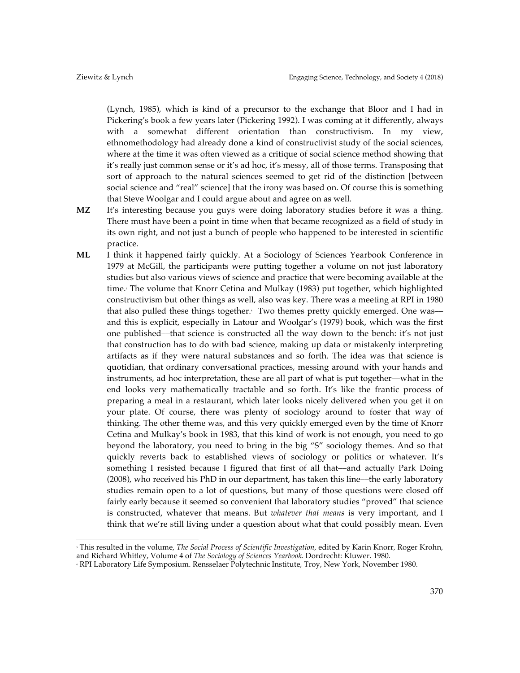(Lynch, 1985), which is kind of a precursor to the exchange that Bloor and I had in Pickering's book a few years later (Pickering 1992). I was coming at it differently, always with a somewhat different orientation than constructivism. In my view, ethnomethodology had already done a kind of constructivist study of the social sciences, where at the time it was often viewed as a critique of social science method showing that it's really just common sense or it's ad hoc, it's messy, all of those terms. Transposing that sort of approach to the natural sciences seemed to get rid of the distinction [between social science and "real" science] that the irony was based on. Of course this is something that Steve Woolgar and I could argue about and agree on as well.

- **MZ** It's interesting because you guys were doing laboratory studies before it was a thing. There must have been a point in time when that became recognized as a field of study in its own right, and not just a bunch of people who happened to be interested in scientific practice.
- **ML** I think it happened fairly quickly. At a Sociology of Sciences Yearbook Conference in 1979 at McGill, the participants were putting together a volume on not just laboratory studies but also various views of science and practice that were becoming available at the time. The volume that Knorr Cetina and Mulkay (1983) put together, which highlighted constructivism but other things as well, also was key. There was a meeting at RPI in 1980 that also pulled these things together. Two themes pretty quickly emerged. One was and this is explicit, especially in Latour and Woolgar's (1979) book, which was the first one published––that science is constructed all the way down to the bench: it's not just that construction has to do with bad science, making up data or mistakenly interpreting artifacts as if they were natural substances and so forth. The idea was that science is quotidian, that ordinary conversational practices, messing around with your hands and instruments, ad hoc interpretation, these are all part of what is put together––what in the end looks very mathematically tractable and so forth. It's like the frantic process of preparing a meal in a restaurant, which later looks nicely delivered when you get it on your plate. Of course, there was plenty of sociology around to foster that way of thinking. The other theme was, and this very quickly emerged even by the time of Knorr Cetina and Mulkay's book in 1983, that this kind of work is not enough, you need to go beyond the laboratory, you need to bring in the big "S" sociology themes. And so that quickly reverts back to established views of sociology or politics or whatever. It's something I resisted because I figured that first of all that––and actually Park Doing (2008), who received his PhD in our department, has taken this line––the early laboratory studies remain open to a lot of questions, but many of those questions were closed off fairly early because it seemed so convenient that laboratory studies "proved" that science is constructed, whatever that means. But *whatever that means* is very important, and I think that we're still living under a question about what that could possibly mean. Even

 

<sup>3</sup> This resulted in the volume, *The Social Process of Scientific Investigation*, edited by Karin Knorr, Roger Krohn, and Richard Whitley, Volume 4 of *The Sociology of Sciences Yearbook*. Dordrecht: Kluwer. 1980.

<sup>4</sup> RPI Laboratory Life Symposium. Rensselaer Polytechnic Institute, Troy, New York, November 1980.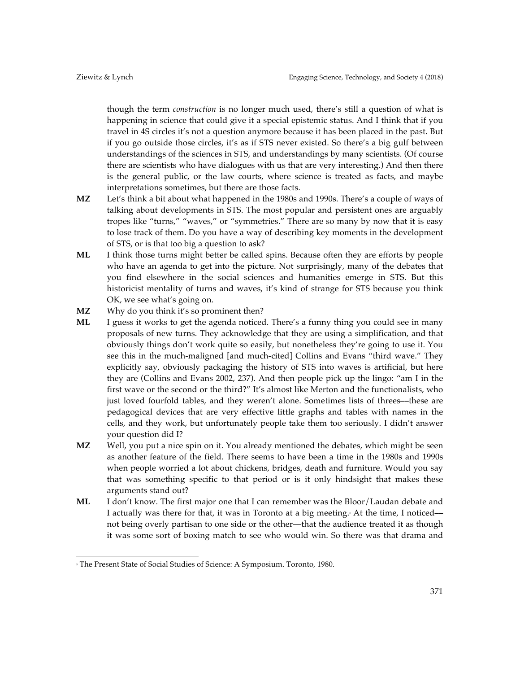though the term *construction* is no longer much used, there's still a question of what is happening in science that could give it a special epistemic status. And I think that if you travel in 4S circles it's not a question anymore because it has been placed in the past. But if you go outside those circles, it's as if STS never existed. So there's a big gulf between understandings of the sciences in STS, and understandings by many scientists. (Of course there are scientists who have dialogues with us that are very interesting.) And then there is the general public, or the law courts, where science is treated as facts, and maybe interpretations sometimes, but there are those facts.

- **MZ** Let's think a bit about what happened in the 1980s and 1990s. There's a couple of ways of talking about developments in STS. The most popular and persistent ones are arguably tropes like "turns," "waves," or "symmetries." There are so many by now that it is easy to lose track of them. Do you have a way of describing key moments in the development of STS, or is that too big a question to ask?
- **ML** I think those turns might better be called spins. Because often they are efforts by people who have an agenda to get into the picture. Not surprisingly, many of the debates that you find elsewhere in the social sciences and humanities emerge in STS. But this historicist mentality of turns and waves, it's kind of strange for STS because you think OK, we see what's going on.
- **MZ** Why do you think it's so prominent then?
- **ML** I guess it works to get the agenda noticed. There's a funny thing you could see in many proposals of new turns. They acknowledge that they are using a simplification, and that obviously things don't work quite so easily, but nonetheless they're going to use it. You see this in the much-maligned [and much-cited] Collins and Evans "third wave." They explicitly say, obviously packaging the history of STS into waves is artificial, but here they are (Collins and Evans 2002, 237). And then people pick up the lingo: "am I in the first wave or the second or the third?" It's almost like Merton and the functionalists, who just loved fourfold tables, and they weren't alone. Sometimes lists of threes––these are pedagogical devices that are very effective little graphs and tables with names in the cells, and they work, but unfortunately people take them too seriously. I didn't answer your question did I?
- **MZ** Well, you put a nice spin on it. You already mentioned the debates, which might be seen as another feature of the field. There seems to have been a time in the 1980s and 1990s when people worried a lot about chickens, bridges, death and furniture. Would you say that was something specific to that period or is it only hindsight that makes these arguments stand out?
- **ML** I don't know. The first major one that I can remember was the Bloor/Laudan debate and I actually was there for that, it was in Toronto at a big meeting.<sup>5</sup> At the time, I noticed not being overly partisan to one side or the other––that the audience treated it as though it was some sort of boxing match to see who would win. So there was that drama and

 

<sup>&</sup>lt;sup>5</sup> The Present State of Social Studies of Science: A Symposium. Toronto, 1980.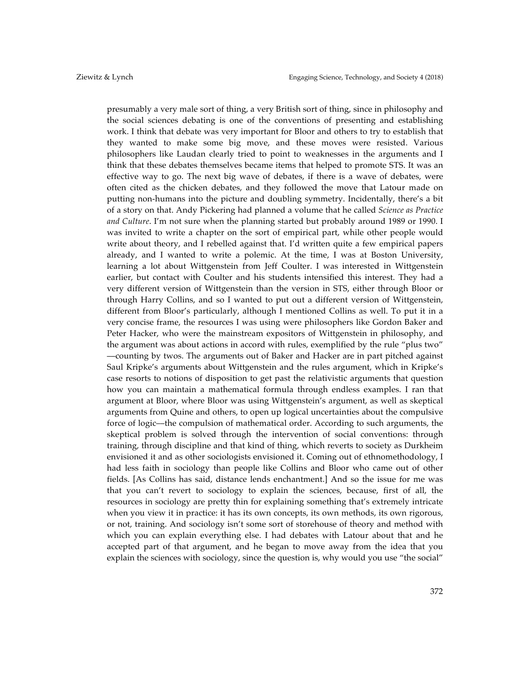presumably a very male sort of thing, a very British sort of thing, since in philosophy and the social sciences debating is one of the conventions of presenting and establishing work. I think that debate was very important for Bloor and others to try to establish that they wanted to make some big move, and these moves were resisted. Various philosophers like Laudan clearly tried to point to weaknesses in the arguments and I think that these debates themselves became items that helped to promote STS. It was an effective way to go. The next big wave of debates, if there is a wave of debates, were often cited as the chicken debates, and they followed the move that Latour made on putting non-humans into the picture and doubling symmetry. Incidentally, there's a bit of a story on that. Andy Pickering had planned a volume that he called *Science as Practice and Culture*. I'm not sure when the planning started but probably around 1989 or 1990. I was invited to write a chapter on the sort of empirical part, while other people would write about theory, and I rebelled against that. I'd written quite a few empirical papers already, and I wanted to write a polemic. At the time, I was at Boston University, learning a lot about Wittgenstein from Jeff Coulter. I was interested in Wittgenstein earlier, but contact with Coulter and his students intensified this interest. They had a very different version of Wittgenstein than the version in STS, either through Bloor or through Harry Collins, and so I wanted to put out a different version of Wittgenstein, different from Bloor's particularly, although I mentioned Collins as well. To put it in a very concise frame, the resources I was using were philosophers like Gordon Baker and Peter Hacker, who were the mainstream expositors of Wittgenstein in philosophy, and the argument was about actions in accord with rules, exemplified by the rule "plus two" ––counting by twos. The arguments out of Baker and Hacker are in part pitched against Saul Kripke's arguments about Wittgenstein and the rules argument, which in Kripke's case resorts to notions of disposition to get past the relativistic arguments that question how you can maintain a mathematical formula through endless examples. I ran that argument at Bloor, where Bloor was using Wittgenstein's argument, as well as skeptical arguments from Quine and others, to open up logical uncertainties about the compulsive force of logic––the compulsion of mathematical order. According to such arguments, the skeptical problem is solved through the intervention of social conventions: through training, through discipline and that kind of thing, which reverts to society as Durkheim envisioned it and as other sociologists envisioned it. Coming out of ethnomethodology, I had less faith in sociology than people like Collins and Bloor who came out of other fields. [As Collins has said, distance lends enchantment.] And so the issue for me was that you can't revert to sociology to explain the sciences, because, first of all, the resources in sociology are pretty thin for explaining something that's extremely intricate when you view it in practice: it has its own concepts, its own methods, its own rigorous, or not, training. And sociology isn't some sort of storehouse of theory and method with which you can explain everything else. I had debates with Latour about that and he accepted part of that argument, and he began to move away from the idea that you explain the sciences with sociology, since the question is, why would you use "the social"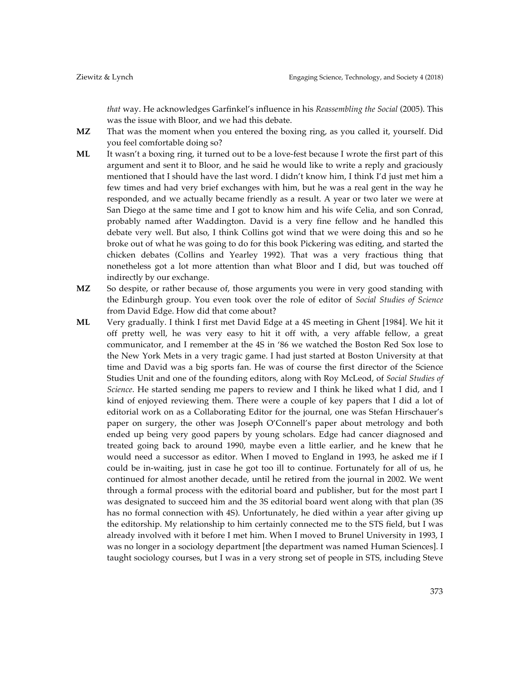*that* way. He acknowledges Garfinkel's influence in his *Reassembling the Social* (2005). This was the issue with Bloor, and we had this debate.

- **MZ** That was the moment when you entered the boxing ring, as you called it, yourself. Did you feel comfortable doing so?
- **ML** It wasn't a boxing ring, it turned out to be a love-fest because I wrote the first part of this argument and sent it to Bloor, and he said he would like to write a reply and graciously mentioned that I should have the last word. I didn't know him, I think I'd just met him a few times and had very brief exchanges with him, but he was a real gent in the way he responded, and we actually became friendly as a result. A year or two later we were at San Diego at the same time and I got to know him and his wife Celia, and son Conrad, probably named after Waddington. David is a very fine fellow and he handled this debate very well. But also, I think Collins got wind that we were doing this and so he broke out of what he was going to do for this book Pickering was editing, and started the chicken debates (Collins and Yearley 1992). That was a very fractious thing that nonetheless got a lot more attention than what Bloor and I did, but was touched off indirectly by our exchange.
- **MZ** So despite, or rather because of, those arguments you were in very good standing with the Edinburgh group. You even took over the role of editor of *Social Studies of Science*  from David Edge. How did that come about?
- **ML** Very gradually. I think I first met David Edge at a 4S meeting in Ghent [1984]. We hit it off pretty well, he was very easy to hit it off with, a very affable fellow, a great communicator, and I remember at the 4S in '86 we watched the Boston Red Sox lose to the New York Mets in a very tragic game. I had just started at Boston University at that time and David was a big sports fan. He was of course the first director of the Science Studies Unit and one of the founding editors, along with Roy McLeod, of *Social Studies of Science*. He started sending me papers to review and I think he liked what I did, and I kind of enjoyed reviewing them. There were a couple of key papers that I did a lot of editorial work on as a Collaborating Editor for the journal, one was Stefan Hirschauer's paper on surgery, the other was Joseph O'Connell's paper about metrology and both ended up being very good papers by young scholars. Edge had cancer diagnosed and treated going back to around 1990, maybe even a little earlier, and he knew that he would need a successor as editor. When I moved to England in 1993, he asked me if I could be in-waiting, just in case he got too ill to continue. Fortunately for all of us, he continued for almost another decade, until he retired from the journal in 2002. We went through a formal process with the editorial board and publisher, but for the most part I was designated to succeed him and the 3S editorial board went along with that plan (3S has no formal connection with 4S). Unfortunately, he died within a year after giving up the editorship. My relationship to him certainly connected me to the STS field, but I was already involved with it before I met him. When I moved to Brunel University in 1993, I was no longer in a sociology department [the department was named Human Sciences]. I taught sociology courses, but I was in a very strong set of people in STS, including Steve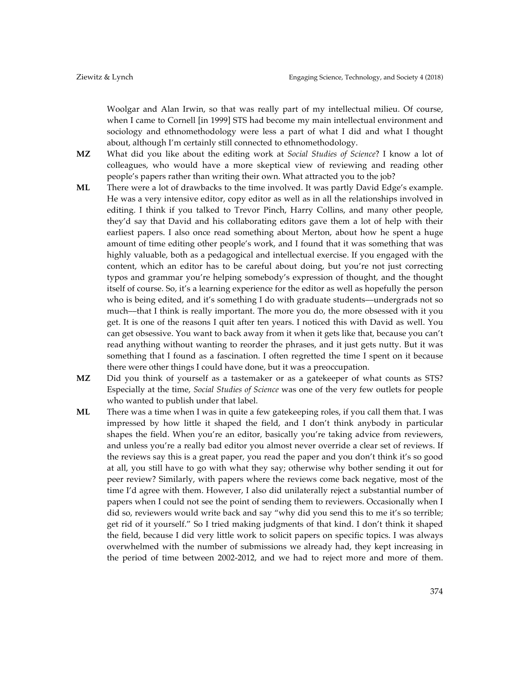Woolgar and Alan Irwin, so that was really part of my intellectual milieu. Of course, when I came to Cornell [in 1999] STS had become my main intellectual environment and sociology and ethnomethodology were less a part of what I did and what I thought about, although I'm certainly still connected to ethnomethodology.

- **MZ** What did you like about the editing work at *Social Studies of Science*? I know a lot of colleagues, who would have a more skeptical view of reviewing and reading other people's papers rather than writing their own. What attracted you to the job?
- **ML** There were a lot of drawbacks to the time involved. It was partly David Edge's example. He was a very intensive editor, copy editor as well as in all the relationships involved in editing. I think if you talked to Trevor Pinch, Harry Collins, and many other people, they'd say that David and his collaborating editors gave them a lot of help with their earliest papers. I also once read something about Merton, about how he spent a huge amount of time editing other people's work, and I found that it was something that was highly valuable, both as a pedagogical and intellectual exercise. If you engaged with the content, which an editor has to be careful about doing, but you're not just correcting typos and grammar you're helping somebody's expression of thought, and the thought itself of course. So, it's a learning experience for the editor as well as hopefully the person who is being edited, and it's something I do with graduate students—undergrads not so much––that I think is really important. The more you do, the more obsessed with it you get. It is one of the reasons I quit after ten years. I noticed this with David as well. You can get obsessive. You want to back away from it when it gets like that, because you can't read anything without wanting to reorder the phrases, and it just gets nutty. But it was something that I found as a fascination. I often regretted the time I spent on it because there were other things I could have done, but it was a preoccupation.
- **MZ** Did you think of yourself as a tastemaker or as a gatekeeper of what counts as STS? Especially at the time, *Social Studies of Science* was one of the very few outlets for people who wanted to publish under that label.
- **ML** There was a time when I was in quite a few gatekeeping roles, if you call them that. I was impressed by how little it shaped the field, and I don't think anybody in particular shapes the field. When you're an editor, basically you're taking advice from reviewers, and unless you're a really bad editor you almost never override a clear set of reviews. If the reviews say this is a great paper, you read the paper and you don't think it's so good at all, you still have to go with what they say; otherwise why bother sending it out for peer review? Similarly, with papers where the reviews come back negative, most of the time I'd agree with them. However, I also did unilaterally reject a substantial number of papers when I could not see the point of sending them to reviewers. Occasionally when I did so, reviewers would write back and say "why did you send this to me it's so terrible; get rid of it yourself." So I tried making judgments of that kind. I don't think it shaped the field, because I did very little work to solicit papers on specific topics. I was always overwhelmed with the number of submissions we already had, they kept increasing in the period of time between 2002-2012, and we had to reject more and more of them.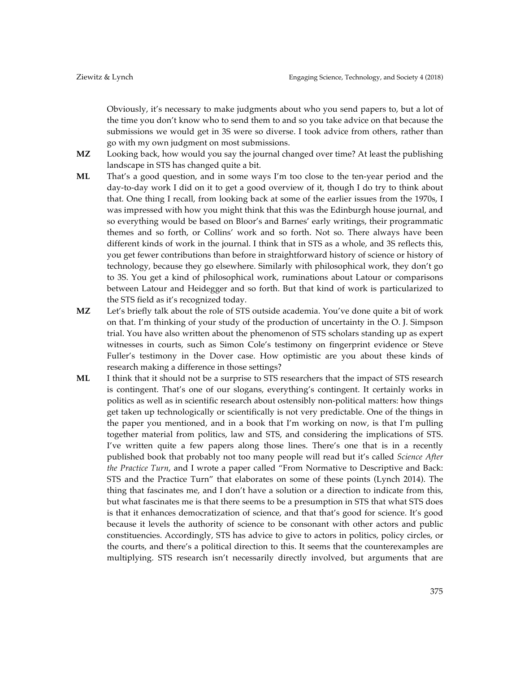Obviously, it's necessary to make judgments about who you send papers to, but a lot of the time you don't know who to send them to and so you take advice on that because the submissions we would get in 3S were so diverse. I took advice from others, rather than go with my own judgment on most submissions.

- **MZ** Looking back, how would you say the journal changed over time? At least the publishing landscape in STS has changed quite a bit.
- **ML** That's a good question, and in some ways I'm too close to the ten-year period and the day-to-day work I did on it to get a good overview of it, though I do try to think about that. One thing I recall, from looking back at some of the earlier issues from the 1970s, I was impressed with how you might think that this was the Edinburgh house journal, and so everything would be based on Bloor's and Barnes' early writings, their programmatic themes and so forth, or Collins' work and so forth. Not so. There always have been different kinds of work in the journal. I think that in STS as a whole, and 3S reflects this, you get fewer contributions than before in straightforward history of science or history of technology, because they go elsewhere. Similarly with philosophical work, they don't go to 3S. You get a kind of philosophical work, ruminations about Latour or comparisons between Latour and Heidegger and so forth. But that kind of work is particularized to the STS field as it's recognized today.
- **MZ** Let's briefly talk about the role of STS outside academia. You've done quite a bit of work on that. I'm thinking of your study of the production of uncertainty in the O. J. Simpson trial. You have also written about the phenomenon of STS scholars standing up as expert witnesses in courts, such as Simon Cole's testimony on fingerprint evidence or Steve Fuller's testimony in the Dover case. How optimistic are you about these kinds of research making a difference in those settings?
- **ML** I think that it should not be a surprise to STS researchers that the impact of STS research is contingent. That's one of our slogans, everything's contingent. It certainly works in politics as well as in scientific research about ostensibly non-political matters: how things get taken up technologically or scientifically is not very predictable. One of the things in the paper you mentioned, and in a book that I'm working on now, is that I'm pulling together material from politics, law and STS, and considering the implications of STS. I've written quite a few papers along those lines. There's one that is in a recently published book that probably not too many people will read but it's called *Science After the Practice Turn*, and I wrote a paper called "From Normative to Descriptive and Back: STS and the Practice Turn" that elaborates on some of these points (Lynch 2014). The thing that fascinates me, and I don't have a solution or a direction to indicate from this, but what fascinates me is that there seems to be a presumption in STS that what STS does is that it enhances democratization of science, and that that's good for science. It's good because it levels the authority of science to be consonant with other actors and public constituencies. Accordingly, STS has advice to give to actors in politics, policy circles, or the courts, and there's a political direction to this. It seems that the counterexamples are multiplying. STS research isn't necessarily directly involved, but arguments that are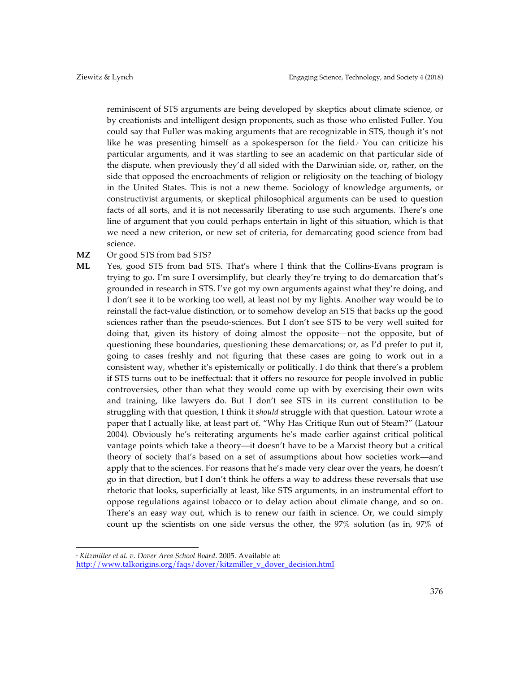reminiscent of STS arguments are being developed by skeptics about climate science, or by creationists and intelligent design proponents, such as those who enlisted Fuller. You could say that Fuller was making arguments that are recognizable in STS, though it's not like he was presenting himself as a spokesperson for the field. You can criticize his particular arguments, and it was startling to see an academic on that particular side of the dispute, when previously they'd all sided with the Darwinian side, or, rather, on the side that opposed the encroachments of religion or religiosity on the teaching of biology in the United States. This is not a new theme. Sociology of knowledge arguments, or constructivist arguments, or skeptical philosophical arguments can be used to question facts of all sorts, and it is not necessarily liberating to use such arguments. There's one line of argument that you could perhaps entertain in light of this situation, which is that we need a new criterion, or new set of criteria, for demarcating good science from bad science.

#### **MZ** Or good STS from bad STS?

**ML** Yes, good STS from bad STS. That's where I think that the Collins-Evans program is trying to go. I'm sure I oversimplify, but clearly they're trying to do demarcation that's grounded in research in STS. I've got my own arguments against what they're doing, and I don't see it to be working too well, at least not by my lights. Another way would be to reinstall the fact-value distinction, or to somehow develop an STS that backs up the good sciences rather than the pseudo-sciences. But I don't see STS to be very well suited for doing that, given its history of doing almost the opposite––not the opposite, but of questioning these boundaries, questioning these demarcations; or, as I'd prefer to put it, going to cases freshly and not figuring that these cases are going to work out in a consistent way, whether it's epistemically or politically. I do think that there's a problem if STS turns out to be ineffectual: that it offers no resource for people involved in public controversies, other than what they would come up with by exercising their own wits and training, like lawyers do. But I don't see STS in its current constitution to be struggling with that question, I think it *should* struggle with that question. Latour wrote a paper that I actually like, at least part of, "Why Has Critique Run out of Steam?" (Latour 2004). Obviously he's reiterating arguments he's made earlier against critical political vantage points which take a theory––it doesn't have to be a Marxist theory but a critical theory of society that's based on a set of assumptions about how societies work––and apply that to the sciences. For reasons that he's made very clear over the years, he doesn't go in that direction, but I don't think he offers a way to address these reversals that use rhetoric that looks, superficially at least, like STS arguments, in an instrumental effort to oppose regulations against tobacco or to delay action about climate change, and so on. There's an easy way out, which is to renew our faith in science. Or, we could simply count up the scientists on one side versus the other, the 97% solution (as in, 97% of

 <sup>6</sup> *Kitzmiller et al. v. Dover Area School Board*. 2005. Available at: http://www.talkorigins.org/faqs/dover/kitzmiller\_v\_dover\_decision.html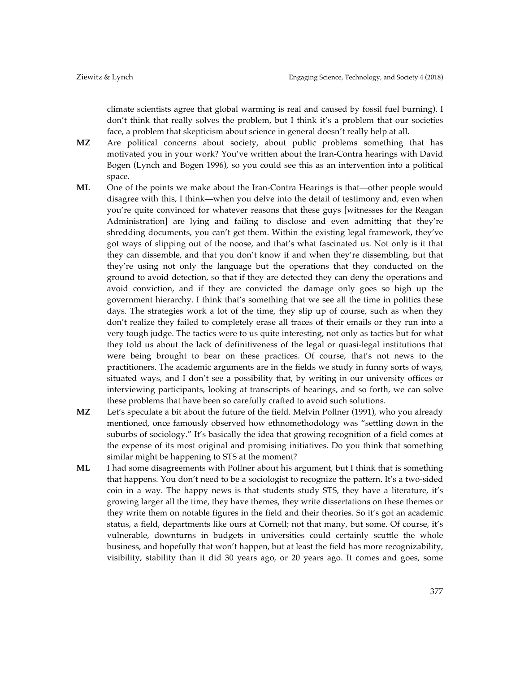climate scientists agree that global warming is real and caused by fossil fuel burning). I don't think that really solves the problem, but I think it's a problem that our societies face, a problem that skepticism about science in general doesn't really help at all.

- **MZ** Are political concerns about society, about public problems something that has motivated you in your work? You've written about the Iran-Contra hearings with David Bogen (Lynch and Bogen 1996), so you could see this as an intervention into a political space.
- **ML** One of the points we make about the Iran-Contra Hearings is that––other people would disagree with this, I think––when you delve into the detail of testimony and, even when you're quite convinced for whatever reasons that these guys [witnesses for the Reagan Administration] are lying and failing to disclose and even admitting that they're shredding documents, you can't get them. Within the existing legal framework, they've got ways of slipping out of the noose, and that's what fascinated us. Not only is it that they can dissemble, and that you don't know if and when they're dissembling, but that they're using not only the language but the operations that they conducted on the ground to avoid detection, so that if they are detected they can deny the operations and avoid conviction, and if they are convicted the damage only goes so high up the government hierarchy. I think that's something that we see all the time in politics these days. The strategies work a lot of the time, they slip up of course, such as when they don't realize they failed to completely erase all traces of their emails or they run into a very tough judge. The tactics were to us quite interesting, not only as tactics but for what they told us about the lack of definitiveness of the legal or quasi-legal institutions that were being brought to bear on these practices. Of course, that's not news to the practitioners. The academic arguments are in the fields we study in funny sorts of ways, situated ways, and I don't see a possibility that, by writing in our university offices or interviewing participants, looking at transcripts of hearings, and so forth, we can solve these problems that have been so carefully crafted to avoid such solutions.
- **MZ** Let's speculate a bit about the future of the field. Melvin Pollner (1991), who you already mentioned, once famously observed how ethnomethodology was "settling down in the suburbs of sociology." It's basically the idea that growing recognition of a field comes at the expense of its most original and promising initiatives. Do you think that something similar might be happening to STS at the moment?
- **ML** I had some disagreements with Pollner about his argument, but I think that is something that happens. You don't need to be a sociologist to recognize the pattern. It's a two-sided coin in a way. The happy news is that students study STS, they have a literature, it's growing larger all the time, they have themes, they write dissertations on these themes or they write them on notable figures in the field and their theories. So it's got an academic status, a field, departments like ours at Cornell; not that many, but some. Of course, it's vulnerable, downturns in budgets in universities could certainly scuttle the whole business, and hopefully that won't happen, but at least the field has more recognizability, visibility, stability than it did 30 years ago, or 20 years ago. It comes and goes, some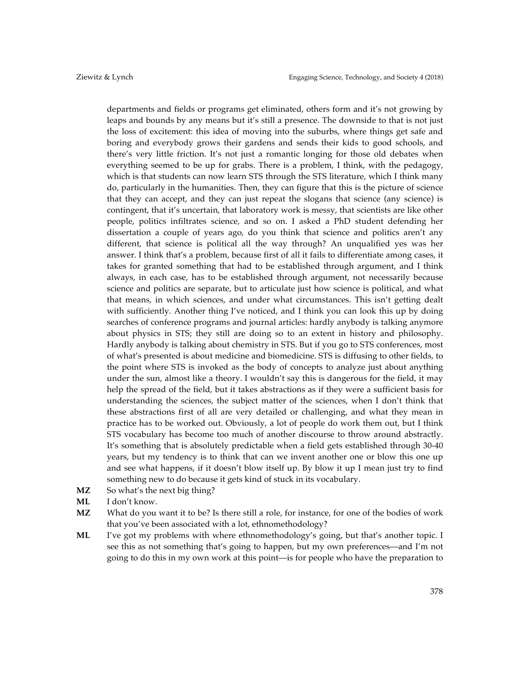departments and fields or programs get eliminated, others form and it's not growing by leaps and bounds by any means but it's still a presence. The downside to that is not just the loss of excitement: this idea of moving into the suburbs, where things get safe and boring and everybody grows their gardens and sends their kids to good schools, and there's very little friction. It's not just a romantic longing for those old debates when everything seemed to be up for grabs. There is a problem, I think, with the pedagogy, which is that students can now learn STS through the STS literature, which I think many do, particularly in the humanities. Then, they can figure that this is the picture of science that they can accept, and they can just repeat the slogans that science (any science) is contingent, that it's uncertain, that laboratory work is messy, that scientists are like other people, politics infiltrates science, and so on. I asked a PhD student defending her dissertation a couple of years ago, do you think that science and politics aren't any different, that science is political all the way through? An unqualified yes was her answer. I think that's a problem, because first of all it fails to differentiate among cases, it takes for granted something that had to be established through argument, and I think always, in each case, has to be established through argument, not necessarily because science and politics are separate, but to articulate just how science is political, and what that means, in which sciences, and under what circumstances. This isn't getting dealt with sufficiently. Another thing I've noticed, and I think you can look this up by doing searches of conference programs and journal articles: hardly anybody is talking anymore about physics in STS; they still are doing so to an extent in history and philosophy. Hardly anybody is talking about chemistry in STS. But if you go to STS conferences, most of what's presented is about medicine and biomedicine. STS is diffusing to other fields, to the point where STS is invoked as the body of concepts to analyze just about anything under the sun, almost like a theory. I wouldn't say this is dangerous for the field, it may help the spread of the field, but it takes abstractions as if they were a sufficient basis for understanding the sciences, the subject matter of the sciences, when I don't think that these abstractions first of all are very detailed or challenging, and what they mean in practice has to be worked out. Obviously, a lot of people do work them out, but I think STS vocabulary has become too much of another discourse to throw around abstractly. It's something that is absolutely predictable when a field gets established through 30-40 years, but my tendency is to think that can we invent another one or blow this one up and see what happens, if it doesn't blow itself up. By blow it up I mean just try to find something new to do because it gets kind of stuck in its vocabulary.

- MZ So what's the next big thing?
- **ML** I don't know.
- **MZ** What do you want it to be? Is there still a role, for instance, for one of the bodies of work that you've been associated with a lot, ethnomethodology?
- **ML** I've got my problems with where ethnomethodology's going, but that's another topic. I see this as not something that's going to happen, but my own preferences––and I'm not going to do this in my own work at this point––is for people who have the preparation to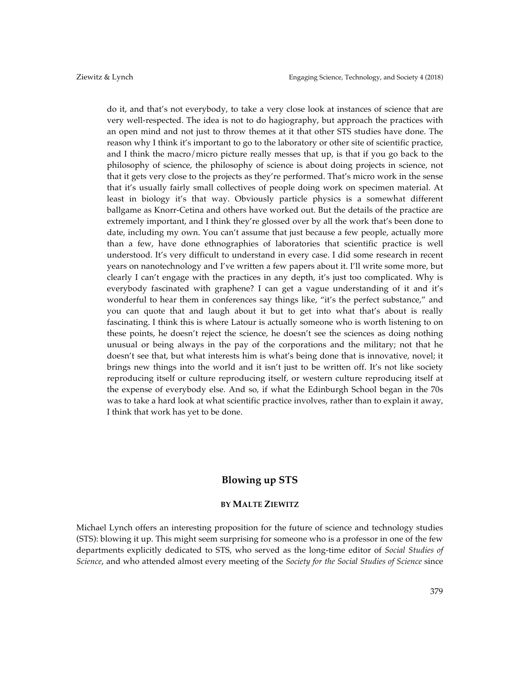do it, and that's not everybody, to take a very close look at instances of science that are very well-respected. The idea is not to do hagiography, but approach the practices with an open mind and not just to throw themes at it that other STS studies have done. The reason why I think it's important to go to the laboratory or other site of scientific practice, and I think the macro/micro picture really messes that up, is that if you go back to the philosophy of science, the philosophy of science is about doing projects in science, not that it gets very close to the projects as they're performed. That's micro work in the sense that it's usually fairly small collectives of people doing work on specimen material. At least in biology it's that way. Obviously particle physics is a somewhat different ballgame as Knorr-Cetina and others have worked out. But the details of the practice are extremely important, and I think they're glossed over by all the work that's been done to date, including my own. You can't assume that just because a few people, actually more than a few, have done ethnographies of laboratories that scientific practice is well understood. It's very difficult to understand in every case. I did some research in recent years on nanotechnology and I've written a few papers about it. I'll write some more, but clearly I can't engage with the practices in any depth, it's just too complicated. Why is everybody fascinated with graphene? I can get a vague understanding of it and it's wonderful to hear them in conferences say things like, "it's the perfect substance," and you can quote that and laugh about it but to get into what that's about is really fascinating. I think this is where Latour is actually someone who is worth listening to on these points, he doesn't reject the science, he doesn't see the sciences as doing nothing unusual or being always in the pay of the corporations and the military; not that he doesn't see that, but what interests him is what's being done that is innovative, novel; it brings new things into the world and it isn't just to be written off. It's not like society reproducing itself or culture reproducing itself, or western culture reproducing itself at the expense of everybody else. And so, if what the Edinburgh School began in the 70s was to take a hard look at what scientific practice involves, rather than to explain it away, I think that work has yet to be done.

# **Blowing up STS**

#### **BY MALTE ZIEWITZ**

Michael Lynch offers an interesting proposition for the future of science and technology studies (STS): blowing it up. This might seem surprising for someone who is a professor in one of the few departments explicitly dedicated to STS, who served as the long-time editor of *Social Studies of Science*, and who attended almost every meeting of the *Society for the Social Studies of Science* since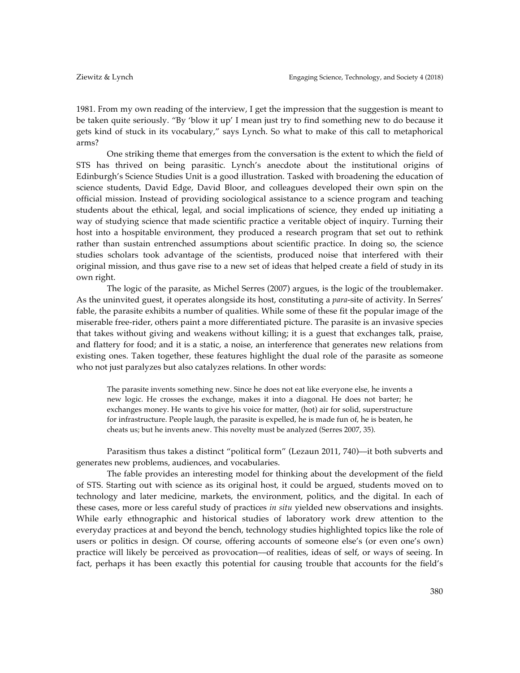1981. From my own reading of the interview, I get the impression that the suggestion is meant to be taken quite seriously. "By 'blow it up' I mean just try to find something new to do because it gets kind of stuck in its vocabulary," says Lynch. So what to make of this call to metaphorical arms?

One striking theme that emerges from the conversation is the extent to which the field of STS has thrived on being parasitic. Lynch's anecdote about the institutional origins of Edinburgh's Science Studies Unit is a good illustration. Tasked with broadening the education of science students, David Edge, David Bloor, and colleagues developed their own spin on the official mission. Instead of providing sociological assistance to a science program and teaching students about the ethical, legal, and social implications of science, they ended up initiating a way of studying science that made scientific practice a veritable object of inquiry. Turning their host into a hospitable environment, they produced a research program that set out to rethink rather than sustain entrenched assumptions about scientific practice. In doing so, the science studies scholars took advantage of the scientists, produced noise that interfered with their original mission, and thus gave rise to a new set of ideas that helped create a field of study in its own right.

The logic of the parasite, as Michel Serres (2007) argues, is the logic of the troublemaker. As the uninvited guest, it operates alongside its host, constituting a *para*-site of activity. In Serres' fable, the parasite exhibits a number of qualities. While some of these fit the popular image of the miserable free-rider, others paint a more differentiated picture. The parasite is an invasive species that takes without giving and weakens without killing; it is a guest that exchanges talk, praise, and flattery for food; and it is a static, a noise, an interference that generates new relations from existing ones. Taken together, these features highlight the dual role of the parasite as someone who not just paralyzes but also catalyzes relations. In other words:

The parasite invents something new. Since he does not eat like everyone else, he invents a new logic. He crosses the exchange, makes it into a diagonal. He does not barter; he exchanges money. He wants to give his voice for matter, (hot) air for solid, superstructure for infrastructure. People laugh, the parasite is expelled, he is made fun of, he is beaten, he cheats us; but he invents anew. This novelty must be analyzed (Serres 2007, 35).

Parasitism thus takes a distinct "political form" (Lezaun 2011, 740)––it both subverts and generates new problems, audiences, and vocabularies.

The fable provides an interesting model for thinking about the development of the field of STS. Starting out with science as its original host, it could be argued, students moved on to technology and later medicine, markets, the environment, politics, and the digital. In each of these cases, more or less careful study of practices *in situ* yielded new observations and insights. While early ethnographic and historical studies of laboratory work drew attention to the everyday practices at and beyond the bench, technology studies highlighted topics like the role of users or politics in design. Of course, offering accounts of someone else's (or even one's own) practice will likely be perceived as provocation––of realities, ideas of self, or ways of seeing. In fact, perhaps it has been exactly this potential for causing trouble that accounts for the field's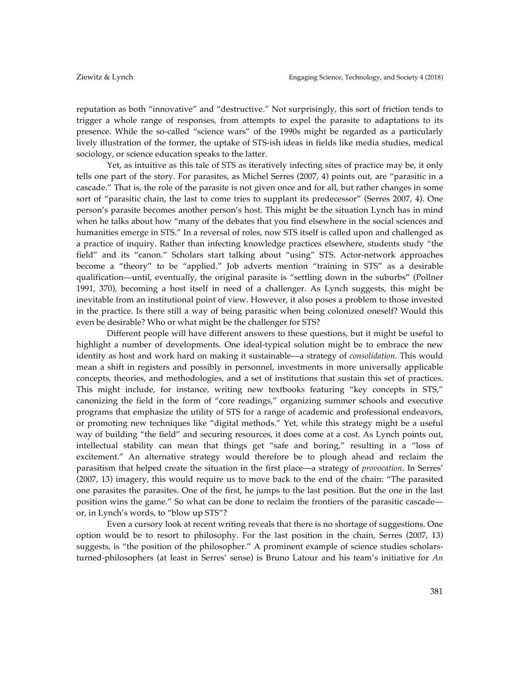reputation as both "innovative" and "destructive." Not surprisingly, this sort of friction tends to trigger a whole range of responses, from attempts to expel the parasite to adaptations to its presence. While the so-called "science wars" of the 1990s might be regarded as a particularly lively illustration of the former, the uptake of STS-ish ideas in fields like media studies, medical sociology, or science education speaks to the latter.

Yet, as intuitive as this tale of STS as iteratively infecting sites of practice may be, it only tells one part of the story. For parasites, as Michel Serres (2007, 4) points out, are "parasitic in a cascade." That is, the role of the parasite is not given once and for all, but rather changes in some sort of "parasitic chain, the last to come tries to supplant its predecessor" (Serres 2007, 4). One person's parasite becomes another person's host. This might be the situation Lynch has in mind when he talks about how "many of the debates that you find elsewhere in the social sciences and humanities emerge in STS." In a reversal of roles, now STS itself is called upon and challenged as a practice of inquiry. Rather than infecting knowledge practices elsewhere, students study "the field" and its "canon." Scholars start talking about "using" STS. Actor-network approaches become a "theory" to be "applied." Job adverts mention "training in STS" as a desirable qualification––until, eventually, the original parasite is "settling down in the suburbs" (Pollner 1991, 370), becoming a host itself in need of a challenger. As Lynch suggests, this might be inevitable from an institutional point of view. However, it also poses a problem to those invested in the practice. Is there still a way of being parasitic when being colonized oneself? Would this even be desirable? Who or what might be the challenger for STS?

Different people will have different answers to these questions, but it might be useful to highlight a number of developments. One ideal-typical solution might be to embrace the new identity as host and work hard on making it sustainable––a strategy of *consolidation*. This would mean a shift in registers and possibly in personnel, investments in more universally applicable concepts, theories, and methodologies, and a set of institutions that sustain this set of practices. This might include, for instance, writing new textbooks featuring "key concepts in STS," canonizing the field in the form of "core readings," organizing summer schools and executive programs that emphasize the utility of STS for a range of academic and professional endeavors, or promoting new techniques like "digital methods." Yet, while this strategy might be a useful way of building "the field" and securing resources, it does come at a cost. As Lynch points out, intellectual stability can mean that things get "safe and boring," resulting in a "loss of excitement." An alternative strategy would therefore be to plough ahead and reclaim the parasitism that helped create the situation in the first place––a strategy of *provocation*. In Serres' (2007, 13) imagery, this would require us to move back to the end of the chain: "The parasited one parasites the parasites. One of the first, he jumps to the last position. But the one in the last position wins the game." So what can be done to reclaim the frontiers of the parasitic cascade–– or, in Lynch's words, to "blow up STS"?

Even a cursory look at recent writing reveals that there is no shortage of suggestions. One option would be to resort to philosophy. For the last position in the chain, Serres (2007, 13) suggests, is "the position of the philosopher." A prominent example of science studies scholarsturned-philosophers (at least in Serres' sense) is Bruno Latour and his team's initiative for *An*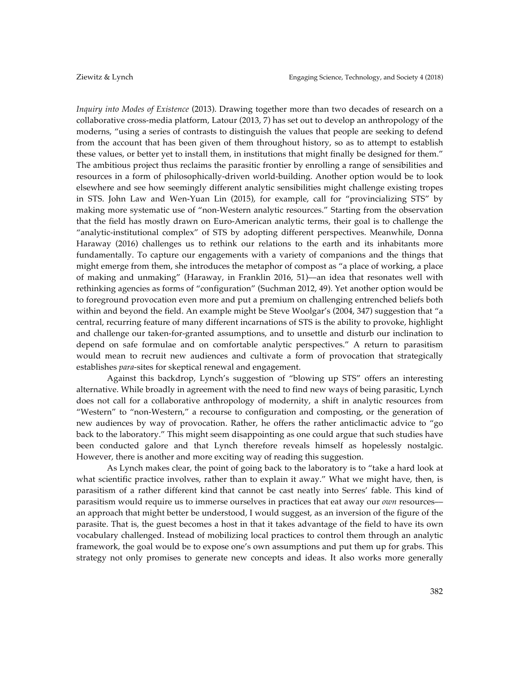*Inquiry into Modes of Existence* (2013). Drawing together more than two decades of research on a collaborative cross-media platform, Latour (2013, 7) has set out to develop an anthropology of the moderns, "using a series of contrasts to distinguish the values that people are seeking to defend from the account that has been given of them throughout history, so as to attempt to establish these values, or better yet to install them, in institutions that might finally be designed for them." The ambitious project thus reclaims the parasitic frontier by enrolling a range of sensibilities and resources in a form of philosophically-driven world-building. Another option would be to look elsewhere and see how seemingly different analytic sensibilities might challenge existing tropes in STS. John Law and Wen-Yuan Lin (2015), for example, call for "provincializing STS" by making more systematic use of "non-Western analytic resources." Starting from the observation that the field has mostly drawn on Euro-American analytic terms, their goal is to challenge the "analytic-institutional complex" of STS by adopting different perspectives. Meanwhile, Donna Haraway (2016) challenges us to rethink our relations to the earth and its inhabitants more fundamentally. To capture our engagements with a variety of companions and the things that might emerge from them, she introduces the metaphor of compost as "a place of working, a place of making and unmaking" (Haraway, in Franklin 2016, 51)––an idea that resonates well with rethinking agencies as forms of "configuration" (Suchman 2012, 49). Yet another option would be to foreground provocation even more and put a premium on challenging entrenched beliefs both within and beyond the field. An example might be Steve Woolgar's (2004, 347) suggestion that "a central, recurring feature of many different incarnations of STS is the ability to provoke, highlight and challenge our taken-for-granted assumptions, and to unsettle and disturb our inclination to depend on safe formulae and on comfortable analytic perspectives." A return to parasitism would mean to recruit new audiences and cultivate a form of provocation that strategically establishes *para-*sites for skeptical renewal and engagement.

Against this backdrop, Lynch's suggestion of "blowing up STS" offers an interesting alternative. While broadly in agreement with the need to find new ways of being parasitic, Lynch does not call for a collaborative anthropology of modernity, a shift in analytic resources from "Western" to "non-Western," a recourse to configuration and composting, or the generation of new audiences by way of provocation. Rather, he offers the rather anticlimactic advice to "go back to the laboratory." This might seem disappointing as one could argue that such studies have been conducted galore and that Lynch therefore reveals himself as hopelessly nostalgic. However, there is another and more exciting way of reading this suggestion.

As Lynch makes clear, the point of going back to the laboratory is to "take a hard look at what scientific practice involves, rather than to explain it away." What we might have, then, is parasitism of a rather different kind that cannot be cast neatly into Serres' fable. This kind of parasitism would require us to immerse ourselves in practices that eat away our *own* resources–– an approach that might better be understood, I would suggest, as an inversion of the figure of the parasite. That is, the guest becomes a host in that it takes advantage of the field to have its own vocabulary challenged. Instead of mobilizing local practices to control them through an analytic framework, the goal would be to expose one's own assumptions and put them up for grabs. This strategy not only promises to generate new concepts and ideas. It also works more generally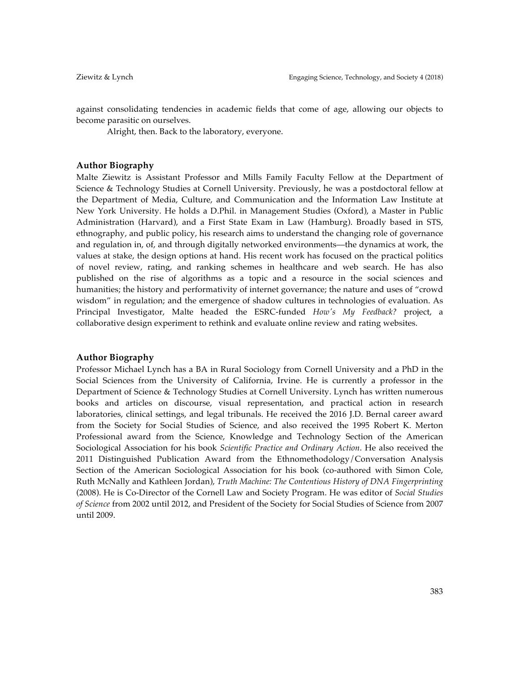against consolidating tendencies in academic fields that come of age, allowing our objects to become parasitic on ourselves.

Alright, then. Back to the laboratory, everyone.

# **Author Biography**

Malte Ziewitz is Assistant Professor and Mills Family Faculty Fellow at the Department of Science & Technology Studies at Cornell University. Previously, he was a postdoctoral fellow at the Department of Media, Culture, and Communication and the Information Law Institute at New York University. He holds a D.Phil. in Management Studies (Oxford), a Master in Public Administration (Harvard), and a First State Exam in Law (Hamburg). Broadly based in STS, ethnography, and public policy, his research aims to understand the changing role of governance and regulation in, of, and through digitally networked environments––the dynamics at work, the values at stake, the design options at hand. His recent work has focused on the practical politics of novel review, rating, and ranking schemes in healthcare and web search. He has also published on the rise of algorithms as a topic and a resource in the social sciences and humanities; the history and performativity of internet governance; the nature and uses of "crowd wisdom" in regulation; and the emergence of shadow cultures in technologies of evaluation. As Principal Investigator, Malte headed the ESRC-funded *How's My Feedback?* project, a collaborative design experiment to rethink and evaluate online review and rating websites.

# **Author Biography**

Professor Michael Lynch has a BA in Rural Sociology from Cornell University and a PhD in the Social Sciences from the University of California, Irvine. He is currently a professor in the Department of Science & Technology Studies at Cornell University. Lynch has written numerous books and articles on discourse, visual representation, and practical action in research laboratories, clinical settings, and legal tribunals. He received the 2016 J.D. Bernal career award from the Society for Social Studies of Science, and also received the 1995 Robert K. Merton Professional award from the Science, Knowledge and Technology Section of the American Sociological Association for his book *Scientific Practice and Ordinary Action*. He also received the 2011 Distinguished Publication Award from the Ethnomethodology/Conversation Analysis Section of the American Sociological Association for his book (co-authored with Simon Cole, Ruth McNally and Kathleen Jordan), *Truth Machine: The Contentious History of DNA Fingerprinting*  (2008). He is Co-Director of the Cornell Law and Society Program. He was editor of *Social Studies of Science* from 2002 until 2012, and President of the Society for Social Studies of Science from 2007 until 2009.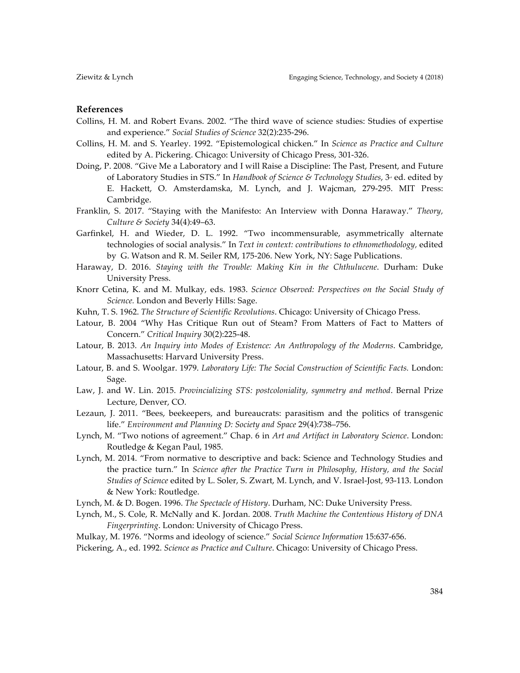# **References**

- Collins, H. M. and Robert Evans. 2002. "The third wave of science studies: Studies of expertise and experience." *Social Studies of Science* 32(2):235-296.
- Collins, H. M. and S. Yearley. 1992. "Epistemological chicken." In *Science as Practice and Culture* edited by A. Pickering. Chicago: University of Chicago Press, 301-326.
- Doing, P. 2008. "Give Me a Laboratory and I will Raise a Discipline: The Past, Present, and Future of Laboratory Studies in STS." In *Handbook of Science & Technology Studies*, 3<sup>®</sup> ed. edited by E. Hackett, O. Amsterdamska, M. Lynch, and J. Wajcman, 279-295. MIT Press: Cambridge.
- Franklin, S. 2017. "Staying with the Manifesto: An Interview with Donna Haraway." *Theory, Culture & Society* 34(4):49–63.
- Garfinkel, H. and Wieder, D. L. 1992. "Two incommensurable, asymmetrically alternate technologies of social analysis." In *Text in context: contributions to ethnomethodology,* edited by G. Watson and R. M. Seiler RM, 175-206. New York, NY: Sage Publications.
- Haraway, D. 2016. *Staying with the Trouble: Making Kin in the Chthulucene*. Durham: Duke University Press.
- Knorr Cetina, K. and M. Mulkay, eds. 1983. *Science Observed: Perspectives on the Social Study of Science.* London and Beverly Hills: Sage.
- Kuhn, T. S. 1962. *The Structure of Scientific Revolutions*. Chicago: University of Chicago Press.
- Latour, B. 2004 "Why Has Critique Run out of Steam? From Matters of Fact to Matters of Concern." *Critical Inquiry* 30(2):225-48.
- Latour, B. 2013. *An Inquiry into Modes of Existence: An Anthropology of the Moderns*. Cambridge, Massachusetts: Harvard University Press.
- Latour, B. and S. Woolgar. 1979. *Laboratory Life: The Social Construction of Scientific Facts.* London: Sage.
- Law, J. and W. Lin. 2015. *Provincializing STS: postcoloniality, symmetry and method*. Bernal Prize Lecture, Denver, CO.
- Lezaun, J. 2011. "Bees, beekeepers, and bureaucrats: parasitism and the politics of transgenic life." *Environment and Planning D: Society and Space* 29(4):738–756.
- Lynch, M. "Two notions of agreement." Chap. 6 in *Art and Artifact in Laboratory Science*. London: Routledge & Kegan Paul, 1985.
- Lynch, M. 2014. "From normative to descriptive and back: Science and Technology Studies and the practice turn." In *Science after the Practice Turn in Philosophy, History, and the Social Studies of Science* edited by L. Soler, S. Zwart, M. Lynch, and V. Israel-Jost*,* 93-113. London & New York: Routledge.
- Lynch, M. & D. Bogen. 1996. *The Spectacle of History*. Durham, NC: Duke University Press.
- Lynch, M., S. Cole, R. McNally and K. Jordan. 2008. *Truth Machine the Contentious History of DNA Fingerprinting*. London: University of Chicago Press.
- Mulkay, M. 1976. "Norms and ideology of science." *Social Science Information* 15:637-656.
- Pickering, A., ed. 1992. *Science as Practice and Culture*. Chicago: University of Chicago Press.